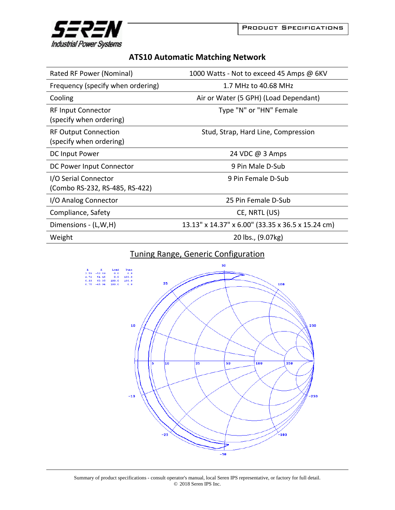



## **ATS10 Automatic Matching Network**

| Rated RF Power (Nominal)                               | 1000 Watts - Not to exceed 45 Amps @ 6KV          |
|--------------------------------------------------------|---------------------------------------------------|
| Frequency (specify when ordering)                      | 1.7 MHz to 40.68 MHz                              |
| Cooling                                                | Air or Water (5 GPH) (Load Dependant)             |
| <b>RF Input Connector</b><br>(specify when ordering)   | Type "N" or "HN" Female                           |
| <b>RF Output Connection</b><br>(specify when ordering) | Stud, Strap, Hard Line, Compression               |
| DC Input Power                                         | 24 VDC @ 3 Amps                                   |
| DC Power Input Connector                               | 9 Pin Male D-Sub                                  |
| I/O Serial Connector<br>(Combo RS-232, RS-485, RS-422) | 9 Pin Female D-Sub                                |
| I/O Analog Connector                                   | 25 Pin Female D-Sub                               |
| Compliance, Safety                                     | CE, NRTL (US)                                     |
| Dimensions - (L,W,H)                                   | 13.13" x 14.37" x 6.00" (33.35 x 36.5 x 15.24 cm) |
| Weight                                                 | 20 lbs., (9.07kg)                                 |

## Tuning Range, Generic Configuration